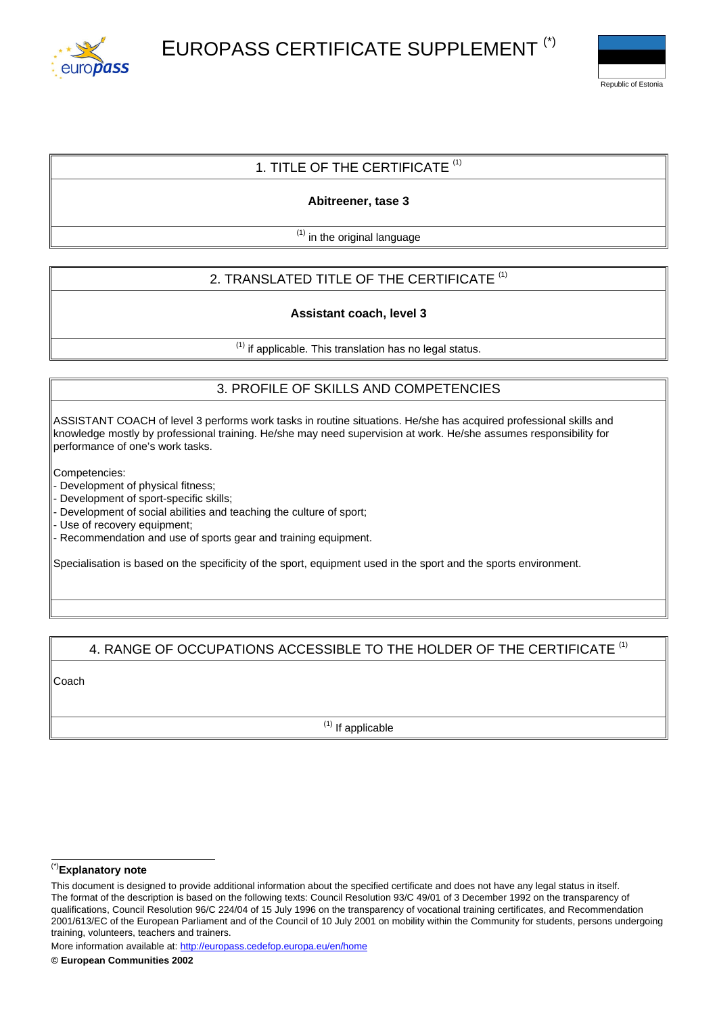



## 1. TITLE OF THE CERTIFICATE  $(1)$

**Abitreener, tase 3**

 $(1)$  in the original language

# 2. TRANSLATED TITLE OF THE CERTIFICATE<sup>(1)</sup>

#### **Assistant coach, level 3**

 $(1)$  if applicable. This translation has no legal status.

## 3. PROFILE OF SKILLS AND COMPETENCIES

ASSISTANT COACH of level 3 performs work tasks in routine situations. He/she has acquired professional skills and knowledge mostly by professional training. He/she may need supervision at work. He/she assumes responsibility for performance of one's work tasks.

Competencies:

- Development of physical fitness;

- Development of sport-specific skills;

- Development of social abilities and teaching the culture of sport;

- Use of recovery equipment;

- Recommendation and use of sports gear and training equipment.

Specialisation is based on the specificity of the sport, equipment used in the sport and the sports environment.

#### 4. RANGE OF OCCUPATIONS ACCESSIBLE TO THE HOLDER OF THE CERTIFICATE (1)

Coach

 $(1)$  If applicable

#### (\*)**Explanatory note**

More information available at: <http://europass.cedefop.europa.eu/en/home>

This document is designed to provide additional information about the specified certificate and does not have any legal status in itself. The format of the description is based on the following texts: Council Resolution 93/C 49/01 of 3 December 1992 on the transparency of qualifications, Council Resolution 96/C 224/04 of 15 July 1996 on the transparency of vocational training certificates, and Recommendation 2001/613/EC of the European Parliament and of the Council of 10 July 2001 on mobility within the Community for students, persons undergoing training, volunteers, teachers and trainers.